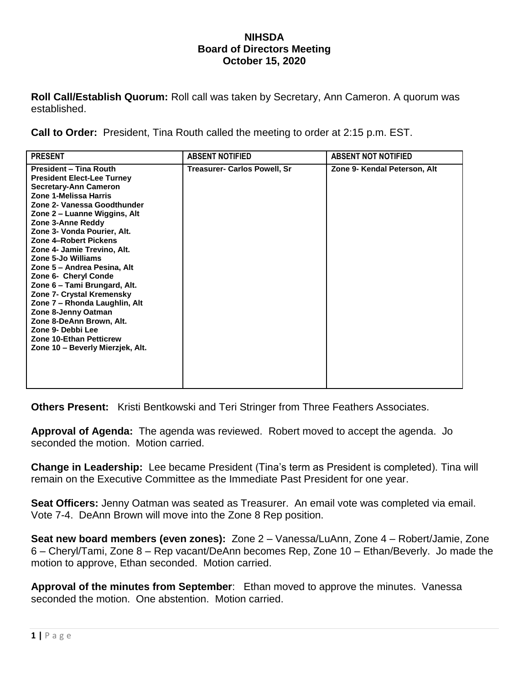## **NIHSDA Board of Directors Meeting October 15, 2020**

**Roll Call/Establish Quorum:** Roll call was taken by Secretary, Ann Cameron. A quorum was established.

**Call to Order:** President, Tina Routh called the meeting to order at 2:15 p.m. EST.

| <b>PRESENT</b>                                                                                                                                                                                                                                                                                                                                                                                                                                                                                                                                                                                                                  | <b>ABSENT NOTIFIED</b>              | <b>ABSENT NOT NOTIFIED</b>   |
|---------------------------------------------------------------------------------------------------------------------------------------------------------------------------------------------------------------------------------------------------------------------------------------------------------------------------------------------------------------------------------------------------------------------------------------------------------------------------------------------------------------------------------------------------------------------------------------------------------------------------------|-------------------------------------|------------------------------|
| <b>President - Tina Routh</b><br><b>President Elect-Lee Turney</b><br><b>Secretary-Ann Cameron</b><br>Zone 1-Melissa Harris<br>Zone 2- Vanessa Goodthunder<br>Zone 2 – Luanne Wiggins, Alt<br>Zone 3-Anne Reddy<br>Zone 3- Vonda Pourier, Alt.<br>Zone 4-Robert Pickens<br>Zone 4- Jamie Trevino, Alt.<br>Zone 5-Jo Williams<br>Zone 5 - Andrea Pesina, Alt<br>Zone 6- Cheryl Conde<br>Zone 6 - Tami Brungard, Alt.<br>Zone 7- Crystal Kremensky<br>Zone 7 - Rhonda Laughlin, Alt<br>Zone 8-Jenny Oatman<br>Zone 8-DeAnn Brown, Alt.<br>Zone 9- Debbi Lee<br><b>Zone 10-Ethan Petticrew</b><br>Zone 10 - Beverly Mierzjek, Alt. | <b>Treasurer- Carlos Powell, Sr</b> | Zone 9- Kendal Peterson, Alt |

**Others Present:** Kristi Bentkowski and Teri Stringer from Three Feathers Associates.

**Approval of Agenda:** The agenda was reviewed. Robert moved to accept the agenda. Jo seconded the motion. Motion carried.

**Change in Leadership:** Lee became President (Tina's term as President is completed). Tina will remain on the Executive Committee as the Immediate Past President for one year.

**Seat Officers:** Jenny Oatman was seated as Treasurer. An email vote was completed via email. Vote 7-4. DeAnn Brown will move into the Zone 8 Rep position.

**Seat new board members (even zones):** Zone 2 – Vanessa/LuAnn, Zone 4 – Robert/Jamie, Zone 6 – Cheryl/Tami, Zone 8 – Rep vacant/DeAnn becomes Rep, Zone 10 – Ethan/Beverly. Jo made the motion to approve, Ethan seconded. Motion carried.

**Approval of the minutes from September**: Ethan moved to approve the minutes. Vanessa seconded the motion. One abstention. Motion carried.